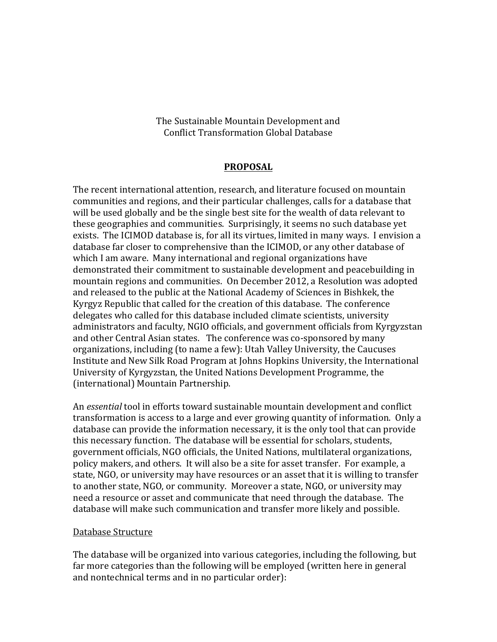The Sustainable Mountain Development and Conflict Transformation Global Database

## **PROPOSAL**

The recent international attention, research, and literature focused on mountain communities and regions, and their particular challenges, calls for a database that will be used globally and be the single best site for the wealth of data relevant to these geographies and communities. Surprisingly, it seems no such database vet exists. The ICIMOD database is, for all its virtues, limited in many ways. I envision a database far closer to comprehensive than the ICIMOD, or any other database of which I am aware. Many international and regional organizations have demonstrated their commitment to sustainable development and peacebuilding in mountain regions and communities. On December 2012, a Resolution was adopted and released to the public at the National Academy of Sciences in Bishkek, the Kyrgyz Republic that called for the creation of this database. The conference delegates who called for this database included climate scientists, university administrators and faculty, NGIO officials, and government officials from Kyrgyzstan and other Central Asian states. The conference was co-sponsored by many organizations, including (to name a few): Utah Valley University, the Caucuses Institute and New Silk Road Program at Johns Hopkins University, the International University of Kyrgyzstan, the United Nations Development Programme, the (international) Mountain Partnership.

An *essential* tool in efforts toward sustainable mountain development and conflict transformation is access to a large and ever growing quantity of information. Only a database can provide the information necessary, it is the only tool that can provide this necessary function. The database will be essential for scholars, students, government officials, NGO officials, the United Nations, multilateral organizations, policy makers, and others. It will also be a site for asset transfer. For example, a state, NGO, or university may have resources or an asset that it is willing to transfer to another state, NGO, or community. Moreover a state, NGO, or university may need a resource or asset and communicate that need through the database. The database will make such communication and transfer more likely and possible.

## Database Structure

The database will be organized into various categories, including the following, but far more categories than the following will be employed (written here in general and nontechnical terms and in no particular order):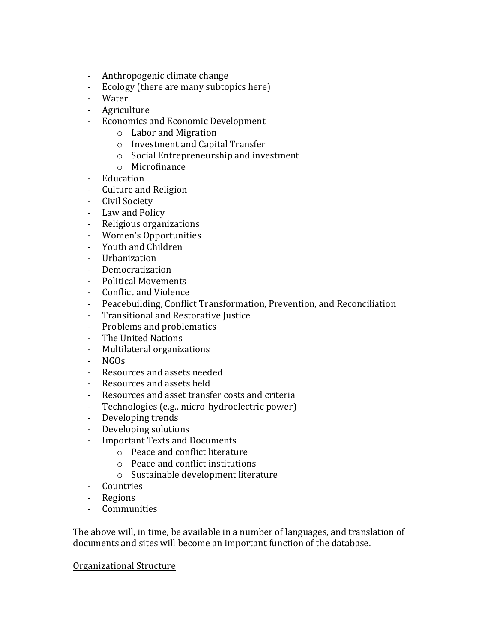- Anthropogenic climate change
- Ecology (there are many subtopics here)
- Water
- Agriculture
- Economics and Economic Development
	- o Labor and Migration
	- $\circ$  Investment and Capital Transfer
	- $\circ$  Social Entrepreneurship and investment
	- o Microfinance
- Education
- Culture and Religion
- Civil Society
- Law and Policy
- Religious organizations
- Women's Opportunities
- Youth and Children
- Urbanization
- Democratization
- Political Movements
- Conflict and Violence
- Peacebuilding, Conflict Transformation, Prevention, and Reconciliation
- Transitional and Restorative Justice
- Problems and problematics
- The United Nations
- Multilateral organizations
- NGOs
- Resources and assets needed
- Resources and assets held
- Resources and asset transfer costs and criteria
- Technologies (e.g., micro-hydroelectric power)
- Developing trends
- Developing solutions
- Important Texts and Documents
	- $\circ$  Peace and conflict literature
	- $\circ$  Peace and conflict institutions
	- o Sustainable development literature
- Countries
- Regions
- Communities

The above will, in time, be available in a number of languages, and translation of documents and sites will become an important function of the database.

## Organizational Structure